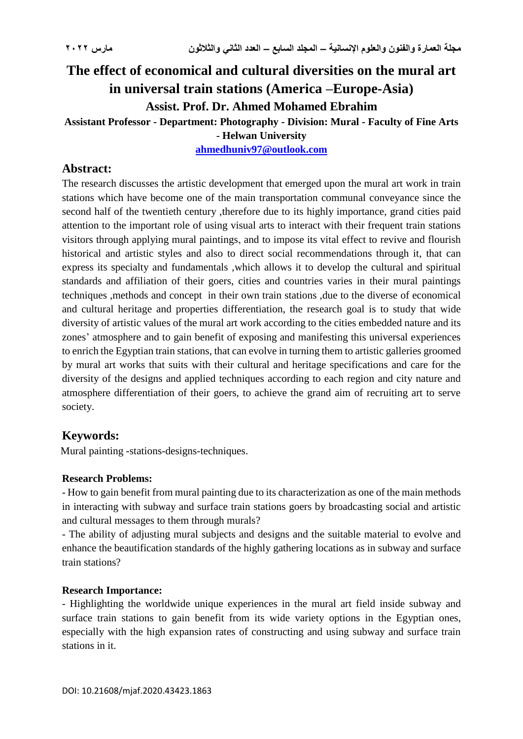# **The effect of economical and cultural diversities on the mural art in universal train stations (America –Europe-Asia) Assist. Prof. Dr. Ahmed Mohamed Ebrahim**

## **Assistant Professor - Department: Photography - Division: Mural - Faculty of Fine Arts**

**- Helwan University**

**[ahmedhuniv97@outlook.com](mailto:ahmedhuniv97@outlook.com)**

#### **Abstract:**

The research discusses the artistic development that emerged upon the mural art work in train stations which have become one of the main transportation communal conveyance since the second half of the twentieth century ,therefore due to its highly importance, grand cities paid attention to the important role of using visual arts to interact with their frequent train stations visitors through applying mural paintings, and to impose its vital effect to revive and flourish historical and artistic styles and also to direct social recommendations through it, that can express its specialty and fundamentals ,which allows it to develop the cultural and spiritual standards and affiliation of their goers, cities and countries varies in their mural paintings techniques ,methods and concept in their own train stations ,due to the diverse of economical and cultural heritage and properties differentiation, the research goal is to study that wide diversity of artistic values of the mural art work according to the cities embedded nature and its zones' atmosphere and to gain benefit of exposing and manifesting this universal experiences to enrich the Egyptian train stations, that can evolve in turning them to artistic galleries groomed by mural art works that suits with their cultural and heritage specifications and care for the diversity of the designs and applied techniques according to each region and city nature and atmosphere differentiation of their goers, to achieve the grand aim of recruiting art to serve society.

### **Keywords:**

Mural painting -stations-designs-techniques.

#### **Research Problems:**

- How to gain benefit from mural painting due to its characterization as one of the main methods in interacting with subway and surface train stations goers by broadcasting social and artistic and cultural messages to them through murals?

- The ability of adjusting mural subjects and designs and the suitable material to evolve and enhance the beautification standards of the highly gathering locations as in subway and surface train stations?

#### **Research Importance:**

- Highlighting the worldwide unique experiences in the mural art field inside subway and surface train stations to gain benefit from its wide variety options in the Egyptian ones, especially with the high expansion rates of constructing and using subway and surface train stations in it.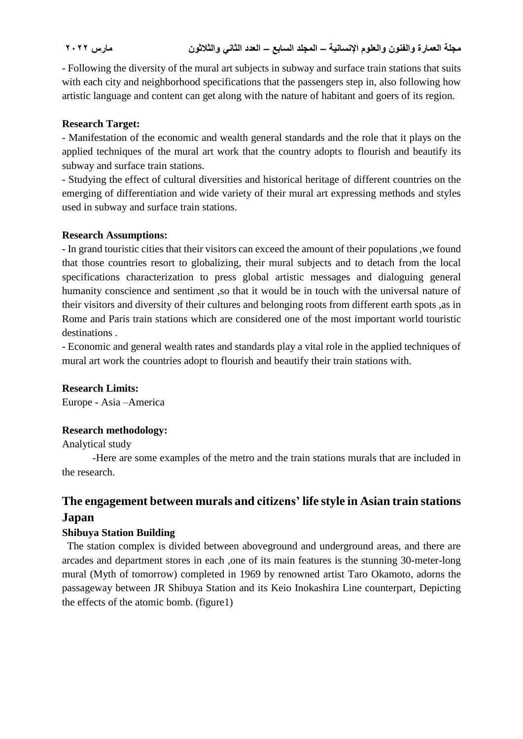- Following the diversity of the mural art subjects in subway and surface train stations that suits with each city and neighborhood specifications that the passengers step in, also following how artistic language and content can get along with the nature of habitant and goers of its region.

#### **Research Target:**

- Manifestation of the economic and wealth general standards and the role that it plays on the applied techniques of the mural art work that the country adopts to flourish and beautify its subway and surface train stations.

- Studying the effect of cultural diversities and historical heritage of different countries on the emerging of differentiation and wide variety of their mural art expressing methods and styles used in subway and surface train stations.

#### **Research Assumptions:**

- In grand touristic cities that their visitors can exceed the amount of their populations ,we found that those countries resort to globalizing, their mural subjects and to detach from the local specifications characterization to press global artistic messages and dialoguing general humanity conscience and sentiment ,so that it would be in touch with the universal nature of their visitors and diversity of their cultures and belonging roots from different earth spots ,as in Rome and Paris train stations which are considered one of the most important world touristic destinations .

- Economic and general wealth rates and standards play a vital role in the applied techniques of mural art work the countries adopt to flourish and beautify their train stations with.

#### **Research Limits:**

Europe - Asia –America

#### **Research methodology:**

Analytical study

 -Here are some examples of the metro and the train stations murals that are included in the research.

## **The engagement between murals and citizens' life style in Asian train stations Japan**

#### **Shibuya Station Building**

 The station complex is divided between aboveground and underground areas, and there are arcades and department stores in each ,one of its main features is the stunning 30-meter-long mural (Myth of tomorrow) completed in 1969 by renowned artist Taro Okamoto, adorns the passageway between JR Shibuya Station and its Keio Inokashira Line counterpart, Depicting the effects of the atomic bomb. (figure1)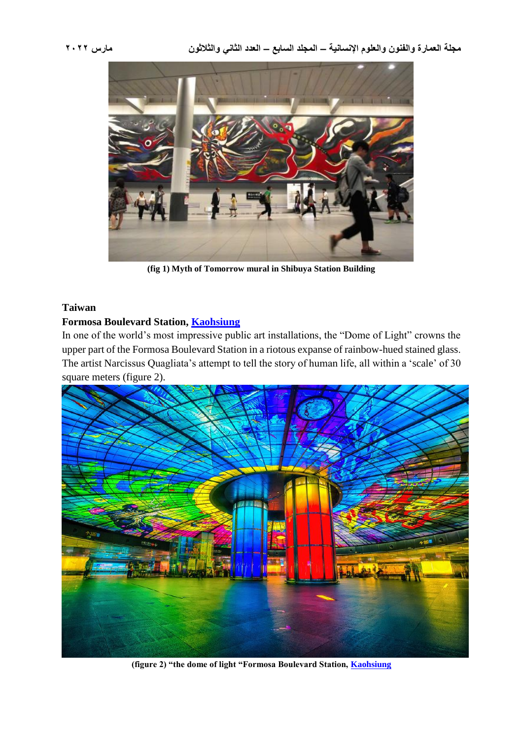

**(fig 1) Myth of Tomorrow mural in Shibuya Station Building**

#### **Taiwan**

#### **Formosa Boulevard Station, [Kaohsiung](../../../../flights/kaohsiung-city)**

In one of the world's most impressive public art installations, the "Dome of Light" crowns the upper part of the Formosa Boulevard Station in a riotous expanse of rainbow-hued stained glass. The artist Narcissus Quagliata's attempt to tell the story of human life, all within a 'scale' of 30 square meters (figure 2).



**(figure 2) "the dome of light "Formosa Boulevard Station, [Kaohsiung](../../../../flights/kaohsiung-city)**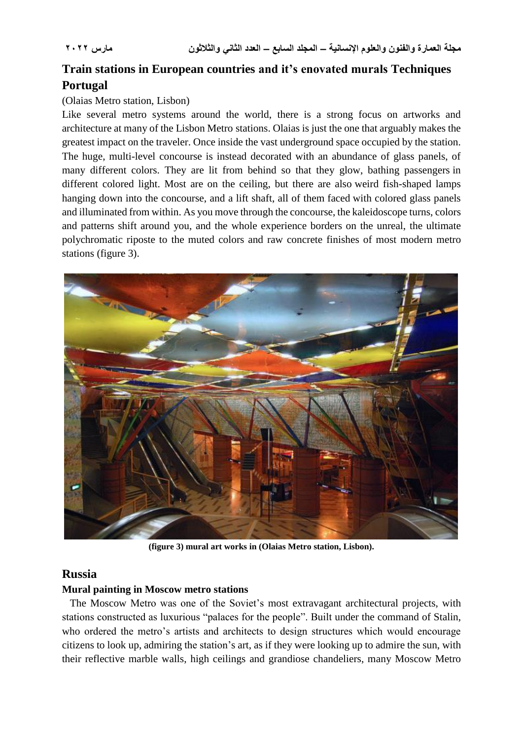## **Train stations in European countries and it's enovated murals Techniques Portugal**

#### (Olaias Metro station, Lisbon)

Like several metro systems around the world, there is a strong focus on artworks and architecture at many of the Lisbon Metro stations. Olaias is just the one that arguably makes the greatest impact on the traveler. Once inside the vast underground space occupied by the station. The huge, multi-level concourse is instead decorated with an abundance of glass panels, of many different colors. They are lit from behind so that they glow, bathing passengers in different colored light. Most are on the ceiling, but there are also weird fish-shaped lamps hanging down into the concourse, and a lift shaft, all of them faced with colored glass panels and illuminated from within. As you move through the concourse, the kaleidoscope turns, colors and patterns shift around you, and the whole experience borders on the unreal, the ultimate polychromatic riposte to the muted colors and raw concrete finishes of most modern metro stations (figure 3).



**(figure 3) mural art works in (Olaias Metro station, Lisbon).**

#### **Russia**

#### **Mural painting in Moscow metro stations**

 The Moscow Metro was one of the Soviet's most extravagant architectural projects, with stations constructed as luxurious "palaces for the people". Built under the command of Stalin, who ordered the metro's artists and architects to design structures which would encourage citizens to look up, admiring the station's art, as if they were looking up to admire the sun, with their reflective marble walls, high ceilings and grandiose chandeliers, many Moscow Metro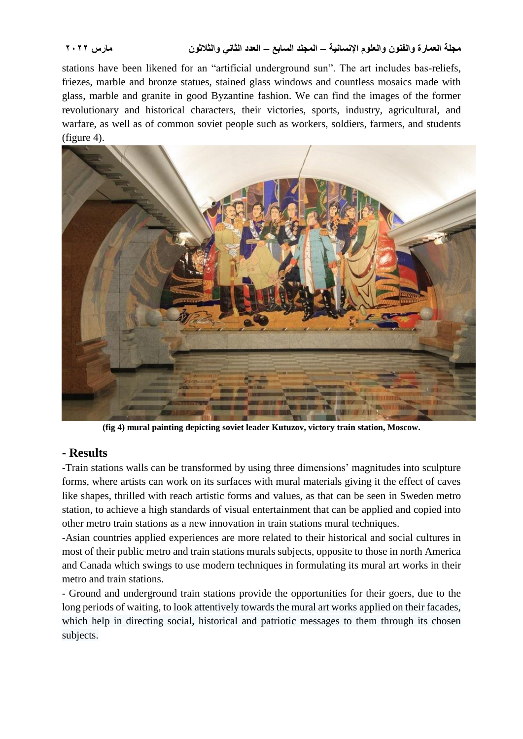stations have been likened for an "artificial underground sun". The art includes bas-reliefs, friezes, marble and bronze statues, stained glass windows and countless mosaics made with glass, marble and granite in good Byzantine fashion. We can find the images of the former revolutionary and historical characters, their victories, sports, industry, agricultural, and warfare, as well as of common soviet people such as workers, soldiers, farmers, and students (figure 4).



**(fig 4) mural painting depicting soviet leader Kutuzov, victory train station, Moscow.**

### **- Results**

-Train stations walls can be transformed by using three dimensions' magnitudes into sculpture forms, where artists can work on its surfaces with mural materials giving it the effect of caves like shapes, thrilled with reach artistic forms and values, as that can be seen in Sweden metro station, to achieve a high standards of visual entertainment that can be applied and copied into other metro train stations as a new innovation in train stations mural techniques.

-Asian countries applied experiences are more related to their historical and social cultures in most of their public metro and train stations murals subjects, opposite to those in north America and Canada which swings to use modern techniques in formulating its mural art works in their metro and train stations.

- Ground and underground train stations provide the opportunities for their goers, due to the long periods of waiting, to look attentively towards the mural art works applied on their facades, which help in directing social, historical and patriotic messages to them through its chosen subjects.